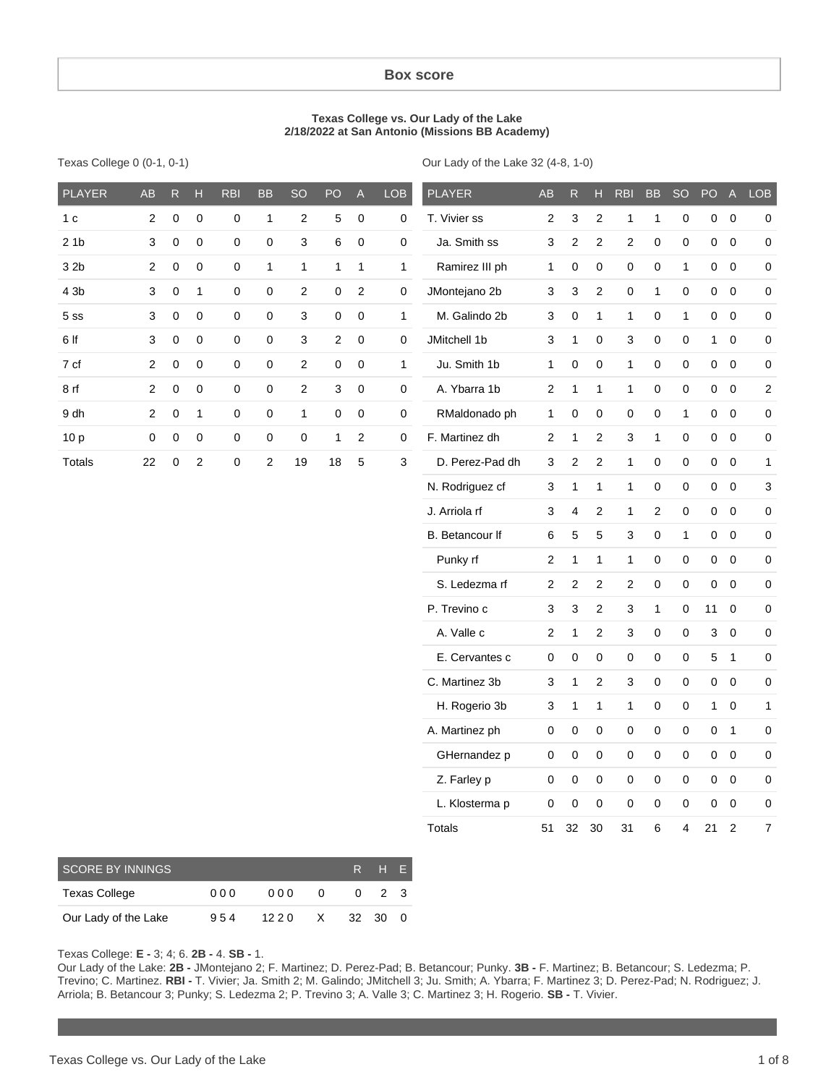#### **Box score**

#### **Texas College vs. Our Lady of the Lake 2/18/2022 at San Antonio (Missions BB Academy)**

|  | Texas College 0 (0-1, 0-1) |  |  |  |
|--|----------------------------|--|--|--|
|--|----------------------------|--|--|--|

Our Lady of the Lake 32 (4-8, 1-0)

| $\mathbf 0$<br>$\pmb{0}$<br>T. Vivier ss<br>$\overline{0}$<br>$\boldsymbol{2}$<br>$\pmb{0}$<br>$\mathbf{1}$<br>$\overline{\mathbf{c}}$<br>5<br>$\pmb{0}$<br>0<br>2<br>3<br>2<br>1<br>$\mathbf 1$<br>$\pmb{0}$<br>$\pmb{0}$<br>0<br>1 <sub>c</sub><br>3<br>$\mathbf 0$<br>$\mathbf 0$<br>$\pmb{0}$<br>0<br>$\mathsf 3$<br>6<br>$\mathbf 0$<br>$\mathbf 0$<br>Ja. Smith ss<br>$\overline{c}$<br>$\overline{c}$<br>$\boldsymbol{2}$<br>$\mathbf 0$<br>$\pmb{0}$<br>$\mathsf 0$<br>$\pmb{0}$<br>$\mathsf 0$<br>21b<br>3<br>$\pmb{0}$<br>$\pmb{0}$<br>$\pmb{0}$<br>$\mathbf{1}$<br>$\mathbf{1}$<br>$\mathbf{1}$<br>Ramirez III ph<br>0<br>$\mathbf 0$<br>$\pmb{0}$<br>$\mathbf 0$<br>$\mathbf{1}$<br>$\mathbf 0$<br>32b<br>$\boldsymbol{2}$<br>$\mathbf{1}$<br>$\mathbf{1}$<br>$\mathbf{1}$<br>0<br>0<br>4 3b<br>3<br>0<br>$\mathbf{1}$<br>$\pmb{0}$<br>$\mathbf 0$<br>$\sqrt{2}$<br>0<br>$\sqrt{2}$<br>$\pmb{0}$<br>JMontejano 2b<br>3<br>3<br>$\overline{c}$<br>$\pmb{0}$<br>$\mathbf{1}$<br>$\mathbf 0$<br>$\mathsf 0$<br>$\pmb{0}$<br>0<br>$\mathbf 0$<br>$\mathbf 0$<br>$\pmb{0}$<br>0<br>0<br>$\mathbf 0$<br>M. Galindo 2b<br>0<br>$\mathbf{1}$<br>$\mathbf{1}$<br>$\mathbf 0$<br>$\mathbf{1}$<br>$0\quad 0$<br>$\pmb{0}$<br>3<br>3<br>$\mathbf{1}$<br>3<br>5 <sub>ss</sub><br>$\mathbf 0$<br>0<br>JMitchell 1b<br>6 If<br>3<br>$\pmb{0}$<br>$\pmb{0}$<br>3<br>2<br>$\pmb{0}$<br>0<br>3<br>0<br>3<br>0<br>$\mathbf 0$<br>$\mathbf{1}$<br>$\boldsymbol{0}$<br>0<br>1<br>$\pmb{0}$<br>$\mathsf 0$<br>7 cf<br>$\boldsymbol{2}$<br>$\pmb{0}$<br>$\pmb{0}$<br>$\overline{2}$<br>0<br>$\mathbf 0$<br>$\mathbf{1}$<br>Ju. Smith 1b<br>$\mathbf{1}$<br>$\mathsf 0$<br>$\pmb{0}$<br>$\mathbf{1}$<br>0<br>$\pmb{0}$<br>$\mathbf 0$<br>$\pmb{0}$<br>$\mathbf 0$<br>$\pmb{0}$<br>$\mathbf 0$<br>$\mathbf 0$<br>A. Ybarra 1b<br>$\pmb{0}$<br>8rf<br>$\overline{\mathbf{c}}$<br>$\pmb{0}$<br>$\boldsymbol{2}$<br>3<br>0<br>$\pmb{0}$<br>$\boldsymbol{2}$<br>$\mathbf{1}$<br>$\mathbf{1}$<br>$\mathbf{1}$<br>0<br>$\pmb{0}$<br>$\pmb{0}$<br>$\overline{\mathbf{c}}$<br>9 dh<br>$\overline{\mathbf{c}}$<br>$\boldsymbol{0}$<br>$\mathbf{1}$<br>$\pmb{0}$<br>0<br>$\mathbf{1}$<br>0<br>$\pmb{0}$<br>$\pmb{0}$<br>RMaldonado ph<br>$\mathbf{1}$<br>0<br>$\pmb{0}$<br>0<br>0<br>$\mathbf{1}$<br>0<br>$\boldsymbol{0}$<br>0<br>$\mathbf 0$<br>$\mathbf 0$<br>$\mathbf 0$<br>$\pmb{0}$<br>$\mathbf 0$<br>$\mathbf{1}$<br>$\sqrt{2}$<br>$\pmb{0}$<br>F. Martinez dh<br>$\boldsymbol{2}$<br>$\pmb{0}$<br>$\pmb{0}$<br>10 <sub>p</sub><br>$\pmb{0}$<br>$\overline{\mathbf{c}}$<br>$\mathbf{1}$<br>3<br>$\mathbf{1}$<br>$\mathbf 0$<br>$\pmb{0}$<br>$\pmb{0}$<br>$\sqrt{2}$<br>$\overline{c}$<br>D. Perez-Pad dh<br>$\overline{c}$<br>$\overline{c}$<br><b>Totals</b><br>22<br>$\boldsymbol{0}$<br>19<br>18<br>5<br>3<br>3<br>$\mathbf{1}$<br>0<br>$\mathbf 0$<br>0<br>$\mathbf 0$<br>1<br>N. Rodriguez cf<br>$\mathbf{1}$<br>$\mathbf 0$<br>$\pmb{0}$<br>$\mathbf 0$<br>$\pmb{0}$<br>3<br>3<br>1<br>1<br>$\boldsymbol{2}$<br>$\overline{c}$<br>$\mathbf 0$<br>J. Arriola rf<br>3<br>4<br>$\mathbf{1}$<br>$\pmb{0}$<br>$\pmb{0}$<br>$\pmb{0}$<br>B. Betancour If<br>5<br>5<br>3<br>0<br>$\mathbf{1}$<br>0<br>$\boldsymbol{0}$<br>0<br>6<br>$\boldsymbol{2}$<br>$\mathbf{1}$<br>$\pmb{0}$<br>$\pmb{0}$<br>Punky rf<br>$\mathbf{1}$<br>$\mathbf{1}$<br>$\mathbf 0$<br>0<br>0<br>S. Ledezma rf<br>$\pmb{0}$<br>$\pmb{0}$<br>$\mathbf 0$<br>$\mathbf 0$<br>$\overline{\mathbf{c}}$<br>$\boldsymbol{2}$<br>$\boldsymbol{2}$<br>$\pmb{0}$<br>2<br>P. Trevino c<br>3<br>$\boldsymbol{2}$<br>$\mathbf{1}$<br>3<br>3<br>0<br>11<br>$\mathbf 0$<br>0<br>A. Valle c<br>$\boldsymbol{2}$<br>$\pmb{0}$<br>$\pmb{0}$<br>$\pmb{0}$<br>$\pmb{0}$<br>$\overline{\mathbf{c}}$<br>$\mathbf{1}$<br>3<br>$\ensuremath{\mathsf{3}}$<br>E. Cervantes c<br>0<br>0<br>0<br>0<br>$\mathbf{1}$<br>0<br>0<br>0<br>5<br>C. Martinez 3b<br>$\boldsymbol{2}$<br>3<br>$\mathbf 0$<br>$\pmb{0}$<br>$\mathsf{O}\xspace$<br>$\pmb{0}$<br>$\pmb{0}$<br>3<br>1<br>H. Rogerio 3b<br>$\mathbf{1}$<br>3<br>$\mathbf{1}$<br>$\mathbf{1}$<br>$\pmb{0}$<br>$\pmb{0}$<br>1<br>$\pmb{0}$<br>1<br>A. Martinez ph<br>0<br>0<br>0<br>0<br>$\mathbf 0$<br>0<br>$\mathbf{1}$<br>0<br>0<br>$\pmb{0}$<br>$\pmb{0}$<br>GHernandez p<br>$\pmb{0}$<br>0<br>0<br>$\mathbf 0$<br>0<br>$\mathbf 0$<br>0<br>Z. Farley p<br>0<br>$\mathbf 0$<br>0<br>$\pmb{0}$<br>$0\quad 0$<br>$\mathbf 0$<br>$\pmb{0}$<br>$\pmb{0}$<br>L. Klosterma p<br>0<br>0<br>0<br>0<br>0<br>0<br>$\boldsymbol{0}$<br>0<br>0<br>$\overline{\mathbf{7}}$<br><b>Totals</b><br>30<br>6<br>$\overline{4}$<br>$\overline{2}$<br>32<br>31<br>21<br>51 | <b>PLAYER</b> | AB | ${\sf R}$ | $\mathsf{H}$ | <b>RBI</b> | <b>BB</b> | SO | PO | $\mathsf{A}% _{\mathsf{A}}^{\prime}=\mathsf{A}_{\mathsf{A}}^{\prime}$ | LOB | <b>PLAYER</b> | AB | ${\sf R}$ | $\mathsf{H}$ | <b>RBI</b> | <b>BB</b> | SO | PO | $\boldsymbol{\mathsf{A}}$ | LOB |
|------------------------------------------------------------------------------------------------------------------------------------------------------------------------------------------------------------------------------------------------------------------------------------------------------------------------------------------------------------------------------------------------------------------------------------------------------------------------------------------------------------------------------------------------------------------------------------------------------------------------------------------------------------------------------------------------------------------------------------------------------------------------------------------------------------------------------------------------------------------------------------------------------------------------------------------------------------------------------------------------------------------------------------------------------------------------------------------------------------------------------------------------------------------------------------------------------------------------------------------------------------------------------------------------------------------------------------------------------------------------------------------------------------------------------------------------------------------------------------------------------------------------------------------------------------------------------------------------------------------------------------------------------------------------------------------------------------------------------------------------------------------------------------------------------------------------------------------------------------------------------------------------------------------------------------------------------------------------------------------------------------------------------------------------------------------------------------------------------------------------------------------------------------------------------------------------------------------------------------------------------------------------------------------------------------------------------------------------------------------------------------------------------------------------------------------------------------------------------------------------------------------------------------------------------------------------------------------------------------------------------------------------------------------------------------------------------------------------------------------------------------------------------------------------------------------------------------------------------------------------------------------------------------------------------------------------------------------------------------------------------------------------------------------------------------------------------------------------------------------------------------------------------------------------------------------------------------------------------------------------------------------------------------------------------------------------------------------------------------------------------------------------------------------------------------------------------------------------------------------------------------------------------------------------------------------------------------------------------------------------------------------------------------------------------------------------------------------------------------------------------------------------------------------------------------------------------------------------------------------------------------------------------------------------------------------------------------------------------------------------------------------------------------------------------------------------------------------------------------------------------------------------------------------------------------------------------------------------------------------------------------------------------------------------------------------------------------------------------------------------------------------------------------------------------------------------------------------------------------------------------------------------------------------------------------------------------------------------------------------------------------|---------------|----|-----------|--------------|------------|-----------|----|----|-----------------------------------------------------------------------|-----|---------------|----|-----------|--------------|------------|-----------|----|----|---------------------------|-----|
|                                                                                                                                                                                                                                                                                                                                                                                                                                                                                                                                                                                                                                                                                                                                                                                                                                                                                                                                                                                                                                                                                                                                                                                                                                                                                                                                                                                                                                                                                                                                                                                                                                                                                                                                                                                                                                                                                                                                                                                                                                                                                                                                                                                                                                                                                                                                                                                                                                                                                                                                                                                                                                                                                                                                                                                                                                                                                                                                                                                                                                                                                                                                                                                                                                                                                                                                                                                                                                                                                                                                                                                                                                                                                                                                                                                                                                                                                                                                                                                                                                                                                                                                                                                                                                                                                                                                                                                                                                                                                                                                                                                                                                    |               |    |           |              |            |           |    |    |                                                                       |     |               |    |           |              |            |           |    |    |                           |     |
|                                                                                                                                                                                                                                                                                                                                                                                                                                                                                                                                                                                                                                                                                                                                                                                                                                                                                                                                                                                                                                                                                                                                                                                                                                                                                                                                                                                                                                                                                                                                                                                                                                                                                                                                                                                                                                                                                                                                                                                                                                                                                                                                                                                                                                                                                                                                                                                                                                                                                                                                                                                                                                                                                                                                                                                                                                                                                                                                                                                                                                                                                                                                                                                                                                                                                                                                                                                                                                                                                                                                                                                                                                                                                                                                                                                                                                                                                                                                                                                                                                                                                                                                                                                                                                                                                                                                                                                                                                                                                                                                                                                                                                    |               |    |           |              |            |           |    |    |                                                                       |     |               |    |           |              |            |           |    |    |                           |     |
|                                                                                                                                                                                                                                                                                                                                                                                                                                                                                                                                                                                                                                                                                                                                                                                                                                                                                                                                                                                                                                                                                                                                                                                                                                                                                                                                                                                                                                                                                                                                                                                                                                                                                                                                                                                                                                                                                                                                                                                                                                                                                                                                                                                                                                                                                                                                                                                                                                                                                                                                                                                                                                                                                                                                                                                                                                                                                                                                                                                                                                                                                                                                                                                                                                                                                                                                                                                                                                                                                                                                                                                                                                                                                                                                                                                                                                                                                                                                                                                                                                                                                                                                                                                                                                                                                                                                                                                                                                                                                                                                                                                                                                    |               |    |           |              |            |           |    |    |                                                                       |     |               |    |           |              |            |           |    |    |                           |     |
|                                                                                                                                                                                                                                                                                                                                                                                                                                                                                                                                                                                                                                                                                                                                                                                                                                                                                                                                                                                                                                                                                                                                                                                                                                                                                                                                                                                                                                                                                                                                                                                                                                                                                                                                                                                                                                                                                                                                                                                                                                                                                                                                                                                                                                                                                                                                                                                                                                                                                                                                                                                                                                                                                                                                                                                                                                                                                                                                                                                                                                                                                                                                                                                                                                                                                                                                                                                                                                                                                                                                                                                                                                                                                                                                                                                                                                                                                                                                                                                                                                                                                                                                                                                                                                                                                                                                                                                                                                                                                                                                                                                                                                    |               |    |           |              |            |           |    |    |                                                                       |     |               |    |           |              |            |           |    |    |                           |     |
|                                                                                                                                                                                                                                                                                                                                                                                                                                                                                                                                                                                                                                                                                                                                                                                                                                                                                                                                                                                                                                                                                                                                                                                                                                                                                                                                                                                                                                                                                                                                                                                                                                                                                                                                                                                                                                                                                                                                                                                                                                                                                                                                                                                                                                                                                                                                                                                                                                                                                                                                                                                                                                                                                                                                                                                                                                                                                                                                                                                                                                                                                                                                                                                                                                                                                                                                                                                                                                                                                                                                                                                                                                                                                                                                                                                                                                                                                                                                                                                                                                                                                                                                                                                                                                                                                                                                                                                                                                                                                                                                                                                                                                    |               |    |           |              |            |           |    |    |                                                                       |     |               |    |           |              |            |           |    |    |                           |     |
|                                                                                                                                                                                                                                                                                                                                                                                                                                                                                                                                                                                                                                                                                                                                                                                                                                                                                                                                                                                                                                                                                                                                                                                                                                                                                                                                                                                                                                                                                                                                                                                                                                                                                                                                                                                                                                                                                                                                                                                                                                                                                                                                                                                                                                                                                                                                                                                                                                                                                                                                                                                                                                                                                                                                                                                                                                                                                                                                                                                                                                                                                                                                                                                                                                                                                                                                                                                                                                                                                                                                                                                                                                                                                                                                                                                                                                                                                                                                                                                                                                                                                                                                                                                                                                                                                                                                                                                                                                                                                                                                                                                                                                    |               |    |           |              |            |           |    |    |                                                                       |     |               |    |           |              |            |           |    |    |                           |     |
|                                                                                                                                                                                                                                                                                                                                                                                                                                                                                                                                                                                                                                                                                                                                                                                                                                                                                                                                                                                                                                                                                                                                                                                                                                                                                                                                                                                                                                                                                                                                                                                                                                                                                                                                                                                                                                                                                                                                                                                                                                                                                                                                                                                                                                                                                                                                                                                                                                                                                                                                                                                                                                                                                                                                                                                                                                                                                                                                                                                                                                                                                                                                                                                                                                                                                                                                                                                                                                                                                                                                                                                                                                                                                                                                                                                                                                                                                                                                                                                                                                                                                                                                                                                                                                                                                                                                                                                                                                                                                                                                                                                                                                    |               |    |           |              |            |           |    |    |                                                                       |     |               |    |           |              |            |           |    |    |                           |     |
|                                                                                                                                                                                                                                                                                                                                                                                                                                                                                                                                                                                                                                                                                                                                                                                                                                                                                                                                                                                                                                                                                                                                                                                                                                                                                                                                                                                                                                                                                                                                                                                                                                                                                                                                                                                                                                                                                                                                                                                                                                                                                                                                                                                                                                                                                                                                                                                                                                                                                                                                                                                                                                                                                                                                                                                                                                                                                                                                                                                                                                                                                                                                                                                                                                                                                                                                                                                                                                                                                                                                                                                                                                                                                                                                                                                                                                                                                                                                                                                                                                                                                                                                                                                                                                                                                                                                                                                                                                                                                                                                                                                                                                    |               |    |           |              |            |           |    |    |                                                                       |     |               |    |           |              |            |           |    |    |                           |     |
|                                                                                                                                                                                                                                                                                                                                                                                                                                                                                                                                                                                                                                                                                                                                                                                                                                                                                                                                                                                                                                                                                                                                                                                                                                                                                                                                                                                                                                                                                                                                                                                                                                                                                                                                                                                                                                                                                                                                                                                                                                                                                                                                                                                                                                                                                                                                                                                                                                                                                                                                                                                                                                                                                                                                                                                                                                                                                                                                                                                                                                                                                                                                                                                                                                                                                                                                                                                                                                                                                                                                                                                                                                                                                                                                                                                                                                                                                                                                                                                                                                                                                                                                                                                                                                                                                                                                                                                                                                                                                                                                                                                                                                    |               |    |           |              |            |           |    |    |                                                                       |     |               |    |           |              |            |           |    |    |                           |     |
|                                                                                                                                                                                                                                                                                                                                                                                                                                                                                                                                                                                                                                                                                                                                                                                                                                                                                                                                                                                                                                                                                                                                                                                                                                                                                                                                                                                                                                                                                                                                                                                                                                                                                                                                                                                                                                                                                                                                                                                                                                                                                                                                                                                                                                                                                                                                                                                                                                                                                                                                                                                                                                                                                                                                                                                                                                                                                                                                                                                                                                                                                                                                                                                                                                                                                                                                                                                                                                                                                                                                                                                                                                                                                                                                                                                                                                                                                                                                                                                                                                                                                                                                                                                                                                                                                                                                                                                                                                                                                                                                                                                                                                    |               |    |           |              |            |           |    |    |                                                                       |     |               |    |           |              |            |           |    |    |                           |     |
|                                                                                                                                                                                                                                                                                                                                                                                                                                                                                                                                                                                                                                                                                                                                                                                                                                                                                                                                                                                                                                                                                                                                                                                                                                                                                                                                                                                                                                                                                                                                                                                                                                                                                                                                                                                                                                                                                                                                                                                                                                                                                                                                                                                                                                                                                                                                                                                                                                                                                                                                                                                                                                                                                                                                                                                                                                                                                                                                                                                                                                                                                                                                                                                                                                                                                                                                                                                                                                                                                                                                                                                                                                                                                                                                                                                                                                                                                                                                                                                                                                                                                                                                                                                                                                                                                                                                                                                                                                                                                                                                                                                                                                    |               |    |           |              |            |           |    |    |                                                                       |     |               |    |           |              |            |           |    |    |                           |     |
|                                                                                                                                                                                                                                                                                                                                                                                                                                                                                                                                                                                                                                                                                                                                                                                                                                                                                                                                                                                                                                                                                                                                                                                                                                                                                                                                                                                                                                                                                                                                                                                                                                                                                                                                                                                                                                                                                                                                                                                                                                                                                                                                                                                                                                                                                                                                                                                                                                                                                                                                                                                                                                                                                                                                                                                                                                                                                                                                                                                                                                                                                                                                                                                                                                                                                                                                                                                                                                                                                                                                                                                                                                                                                                                                                                                                                                                                                                                                                                                                                                                                                                                                                                                                                                                                                                                                                                                                                                                                                                                                                                                                                                    |               |    |           |              |            |           |    |    |                                                                       |     |               |    |           |              |            |           |    |    |                           |     |
|                                                                                                                                                                                                                                                                                                                                                                                                                                                                                                                                                                                                                                                                                                                                                                                                                                                                                                                                                                                                                                                                                                                                                                                                                                                                                                                                                                                                                                                                                                                                                                                                                                                                                                                                                                                                                                                                                                                                                                                                                                                                                                                                                                                                                                                                                                                                                                                                                                                                                                                                                                                                                                                                                                                                                                                                                                                                                                                                                                                                                                                                                                                                                                                                                                                                                                                                                                                                                                                                                                                                                                                                                                                                                                                                                                                                                                                                                                                                                                                                                                                                                                                                                                                                                                                                                                                                                                                                                                                                                                                                                                                                                                    |               |    |           |              |            |           |    |    |                                                                       |     |               |    |           |              |            |           |    |    |                           |     |
|                                                                                                                                                                                                                                                                                                                                                                                                                                                                                                                                                                                                                                                                                                                                                                                                                                                                                                                                                                                                                                                                                                                                                                                                                                                                                                                                                                                                                                                                                                                                                                                                                                                                                                                                                                                                                                                                                                                                                                                                                                                                                                                                                                                                                                                                                                                                                                                                                                                                                                                                                                                                                                                                                                                                                                                                                                                                                                                                                                                                                                                                                                                                                                                                                                                                                                                                                                                                                                                                                                                                                                                                                                                                                                                                                                                                                                                                                                                                                                                                                                                                                                                                                                                                                                                                                                                                                                                                                                                                                                                                                                                                                                    |               |    |           |              |            |           |    |    |                                                                       |     |               |    |           |              |            |           |    |    |                           |     |
|                                                                                                                                                                                                                                                                                                                                                                                                                                                                                                                                                                                                                                                                                                                                                                                                                                                                                                                                                                                                                                                                                                                                                                                                                                                                                                                                                                                                                                                                                                                                                                                                                                                                                                                                                                                                                                                                                                                                                                                                                                                                                                                                                                                                                                                                                                                                                                                                                                                                                                                                                                                                                                                                                                                                                                                                                                                                                                                                                                                                                                                                                                                                                                                                                                                                                                                                                                                                                                                                                                                                                                                                                                                                                                                                                                                                                                                                                                                                                                                                                                                                                                                                                                                                                                                                                                                                                                                                                                                                                                                                                                                                                                    |               |    |           |              |            |           |    |    |                                                                       |     |               |    |           |              |            |           |    |    |                           |     |
|                                                                                                                                                                                                                                                                                                                                                                                                                                                                                                                                                                                                                                                                                                                                                                                                                                                                                                                                                                                                                                                                                                                                                                                                                                                                                                                                                                                                                                                                                                                                                                                                                                                                                                                                                                                                                                                                                                                                                                                                                                                                                                                                                                                                                                                                                                                                                                                                                                                                                                                                                                                                                                                                                                                                                                                                                                                                                                                                                                                                                                                                                                                                                                                                                                                                                                                                                                                                                                                                                                                                                                                                                                                                                                                                                                                                                                                                                                                                                                                                                                                                                                                                                                                                                                                                                                                                                                                                                                                                                                                                                                                                                                    |               |    |           |              |            |           |    |    |                                                                       |     |               |    |           |              |            |           |    |    |                           |     |
|                                                                                                                                                                                                                                                                                                                                                                                                                                                                                                                                                                                                                                                                                                                                                                                                                                                                                                                                                                                                                                                                                                                                                                                                                                                                                                                                                                                                                                                                                                                                                                                                                                                                                                                                                                                                                                                                                                                                                                                                                                                                                                                                                                                                                                                                                                                                                                                                                                                                                                                                                                                                                                                                                                                                                                                                                                                                                                                                                                                                                                                                                                                                                                                                                                                                                                                                                                                                                                                                                                                                                                                                                                                                                                                                                                                                                                                                                                                                                                                                                                                                                                                                                                                                                                                                                                                                                                                                                                                                                                                                                                                                                                    |               |    |           |              |            |           |    |    |                                                                       |     |               |    |           |              |            |           |    |    |                           |     |
|                                                                                                                                                                                                                                                                                                                                                                                                                                                                                                                                                                                                                                                                                                                                                                                                                                                                                                                                                                                                                                                                                                                                                                                                                                                                                                                                                                                                                                                                                                                                                                                                                                                                                                                                                                                                                                                                                                                                                                                                                                                                                                                                                                                                                                                                                                                                                                                                                                                                                                                                                                                                                                                                                                                                                                                                                                                                                                                                                                                                                                                                                                                                                                                                                                                                                                                                                                                                                                                                                                                                                                                                                                                                                                                                                                                                                                                                                                                                                                                                                                                                                                                                                                                                                                                                                                                                                                                                                                                                                                                                                                                                                                    |               |    |           |              |            |           |    |    |                                                                       |     |               |    |           |              |            |           |    |    |                           |     |
|                                                                                                                                                                                                                                                                                                                                                                                                                                                                                                                                                                                                                                                                                                                                                                                                                                                                                                                                                                                                                                                                                                                                                                                                                                                                                                                                                                                                                                                                                                                                                                                                                                                                                                                                                                                                                                                                                                                                                                                                                                                                                                                                                                                                                                                                                                                                                                                                                                                                                                                                                                                                                                                                                                                                                                                                                                                                                                                                                                                                                                                                                                                                                                                                                                                                                                                                                                                                                                                                                                                                                                                                                                                                                                                                                                                                                                                                                                                                                                                                                                                                                                                                                                                                                                                                                                                                                                                                                                                                                                                                                                                                                                    |               |    |           |              |            |           |    |    |                                                                       |     |               |    |           |              |            |           |    |    |                           |     |
|                                                                                                                                                                                                                                                                                                                                                                                                                                                                                                                                                                                                                                                                                                                                                                                                                                                                                                                                                                                                                                                                                                                                                                                                                                                                                                                                                                                                                                                                                                                                                                                                                                                                                                                                                                                                                                                                                                                                                                                                                                                                                                                                                                                                                                                                                                                                                                                                                                                                                                                                                                                                                                                                                                                                                                                                                                                                                                                                                                                                                                                                                                                                                                                                                                                                                                                                                                                                                                                                                                                                                                                                                                                                                                                                                                                                                                                                                                                                                                                                                                                                                                                                                                                                                                                                                                                                                                                                                                                                                                                                                                                                                                    |               |    |           |              |            |           |    |    |                                                                       |     |               |    |           |              |            |           |    |    |                           |     |
|                                                                                                                                                                                                                                                                                                                                                                                                                                                                                                                                                                                                                                                                                                                                                                                                                                                                                                                                                                                                                                                                                                                                                                                                                                                                                                                                                                                                                                                                                                                                                                                                                                                                                                                                                                                                                                                                                                                                                                                                                                                                                                                                                                                                                                                                                                                                                                                                                                                                                                                                                                                                                                                                                                                                                                                                                                                                                                                                                                                                                                                                                                                                                                                                                                                                                                                                                                                                                                                                                                                                                                                                                                                                                                                                                                                                                                                                                                                                                                                                                                                                                                                                                                                                                                                                                                                                                                                                                                                                                                                                                                                                                                    |               |    |           |              |            |           |    |    |                                                                       |     |               |    |           |              |            |           |    |    |                           |     |
|                                                                                                                                                                                                                                                                                                                                                                                                                                                                                                                                                                                                                                                                                                                                                                                                                                                                                                                                                                                                                                                                                                                                                                                                                                                                                                                                                                                                                                                                                                                                                                                                                                                                                                                                                                                                                                                                                                                                                                                                                                                                                                                                                                                                                                                                                                                                                                                                                                                                                                                                                                                                                                                                                                                                                                                                                                                                                                                                                                                                                                                                                                                                                                                                                                                                                                                                                                                                                                                                                                                                                                                                                                                                                                                                                                                                                                                                                                                                                                                                                                                                                                                                                                                                                                                                                                                                                                                                                                                                                                                                                                                                                                    |               |    |           |              |            |           |    |    |                                                                       |     |               |    |           |              |            |           |    |    |                           |     |
|                                                                                                                                                                                                                                                                                                                                                                                                                                                                                                                                                                                                                                                                                                                                                                                                                                                                                                                                                                                                                                                                                                                                                                                                                                                                                                                                                                                                                                                                                                                                                                                                                                                                                                                                                                                                                                                                                                                                                                                                                                                                                                                                                                                                                                                                                                                                                                                                                                                                                                                                                                                                                                                                                                                                                                                                                                                                                                                                                                                                                                                                                                                                                                                                                                                                                                                                                                                                                                                                                                                                                                                                                                                                                                                                                                                                                                                                                                                                                                                                                                                                                                                                                                                                                                                                                                                                                                                                                                                                                                                                                                                                                                    |               |    |           |              |            |           |    |    |                                                                       |     |               |    |           |              |            |           |    |    |                           |     |
|                                                                                                                                                                                                                                                                                                                                                                                                                                                                                                                                                                                                                                                                                                                                                                                                                                                                                                                                                                                                                                                                                                                                                                                                                                                                                                                                                                                                                                                                                                                                                                                                                                                                                                                                                                                                                                                                                                                                                                                                                                                                                                                                                                                                                                                                                                                                                                                                                                                                                                                                                                                                                                                                                                                                                                                                                                                                                                                                                                                                                                                                                                                                                                                                                                                                                                                                                                                                                                                                                                                                                                                                                                                                                                                                                                                                                                                                                                                                                                                                                                                                                                                                                                                                                                                                                                                                                                                                                                                                                                                                                                                                                                    |               |    |           |              |            |           |    |    |                                                                       |     |               |    |           |              |            |           |    |    |                           |     |
|                                                                                                                                                                                                                                                                                                                                                                                                                                                                                                                                                                                                                                                                                                                                                                                                                                                                                                                                                                                                                                                                                                                                                                                                                                                                                                                                                                                                                                                                                                                                                                                                                                                                                                                                                                                                                                                                                                                                                                                                                                                                                                                                                                                                                                                                                                                                                                                                                                                                                                                                                                                                                                                                                                                                                                                                                                                                                                                                                                                                                                                                                                                                                                                                                                                                                                                                                                                                                                                                                                                                                                                                                                                                                                                                                                                                                                                                                                                                                                                                                                                                                                                                                                                                                                                                                                                                                                                                                                                                                                                                                                                                                                    |               |    |           |              |            |           |    |    |                                                                       |     |               |    |           |              |            |           |    |    |                           |     |
|                                                                                                                                                                                                                                                                                                                                                                                                                                                                                                                                                                                                                                                                                                                                                                                                                                                                                                                                                                                                                                                                                                                                                                                                                                                                                                                                                                                                                                                                                                                                                                                                                                                                                                                                                                                                                                                                                                                                                                                                                                                                                                                                                                                                                                                                                                                                                                                                                                                                                                                                                                                                                                                                                                                                                                                                                                                                                                                                                                                                                                                                                                                                                                                                                                                                                                                                                                                                                                                                                                                                                                                                                                                                                                                                                                                                                                                                                                                                                                                                                                                                                                                                                                                                                                                                                                                                                                                                                                                                                                                                                                                                                                    |               |    |           |              |            |           |    |    |                                                                       |     |               |    |           |              |            |           |    |    |                           |     |

| <b>SCORE BY INNINGS</b> |     |               |          |       | 'R HF       |  |
|-------------------------|-----|---------------|----------|-------|-------------|--|
| <b>Texas College</b>    | 000 | 000           | $\Omega$ |       | $0 \t2 \t3$ |  |
| Our Lady of the Lake    | 954 | $1220 \times$ |          | 32 30 |             |  |

Texas College: **E -** 3; 4; 6. **2B -** 4. **SB -** 1.

Our Lady of the Lake: **2B -** JMontejano 2; F. Martinez; D. Perez-Pad; B. Betancour; Punky. **3B -** F. Martinez; B. Betancour; S. Ledezma; P. Trevino; C. Martinez. **RBI -** T. Vivier; Ja. Smith 2; M. Galindo; JMitchell 3; Ju. Smith; A. Ybarra; F. Martinez 3; D. Perez-Pad; N. Rodriguez; J. Arriola; B. Betancour 3; Punky; S. Ledezma 2; P. Trevino 3; A. Valle 3; C. Martinez 3; H. Rogerio. **SB -** T. Vivier.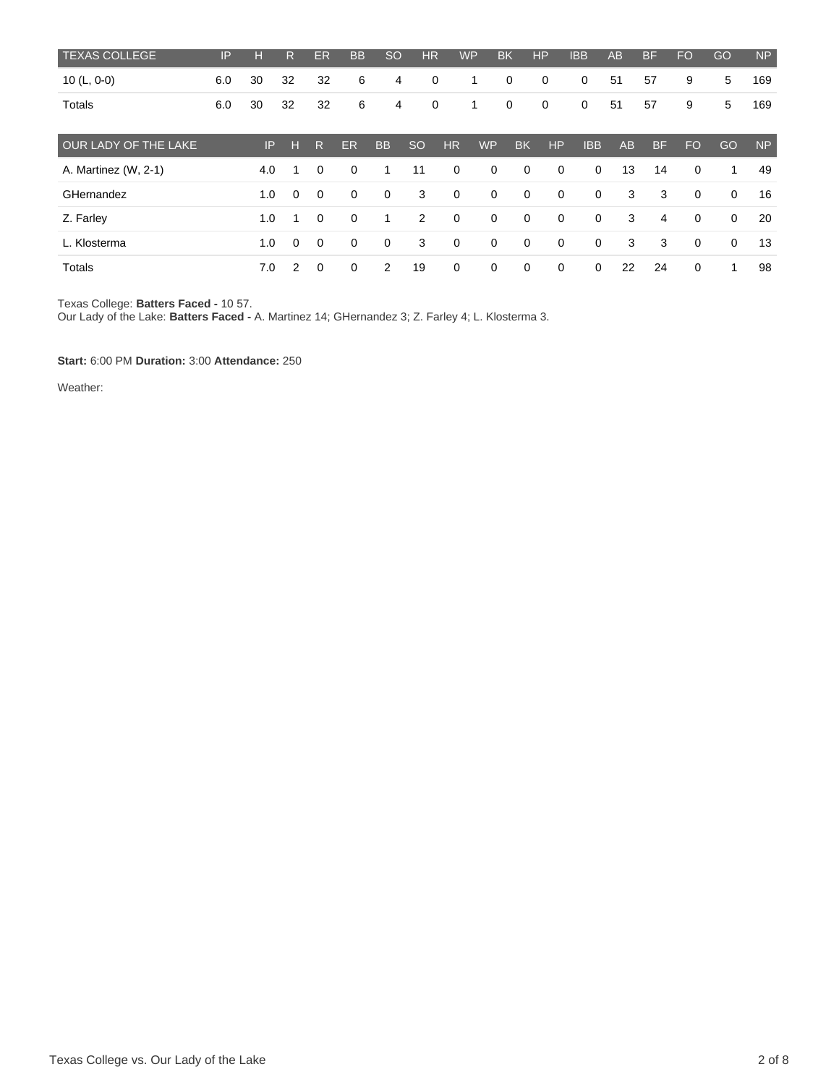| <b>TEXAS COLLEGE</b> | IP  | H   | R             | <b>ER</b>      | <b>BB</b>   | <b>SO</b>   | <b>HR</b>      |             | <b>WP</b>   | <b>BK</b>   | HP          | <b>IBB</b>  | AB | <b>BF</b> | <b>FO</b>   | GO          | <b>NP</b> |
|----------------------|-----|-----|---------------|----------------|-------------|-------------|----------------|-------------|-------------|-------------|-------------|-------------|----|-----------|-------------|-------------|-----------|
| 10 $(L, 0-0)$        | 6.0 | 30  | 32            | 32             | 6           | 4           | 0              |             | 1           | $\mathbf 0$ | 0           | 0           | 51 | 57        | 9           | 5           | 169       |
| Totals               | 6.0 | 30  | 32            | 32             | 6           | 4           | $\mathbf 0$    |             | 1           | $\mathbf 0$ | $\mathbf 0$ | $\mathbf 0$ | 51 | 57        | 9           | 5           | 169       |
| OUR LADY OF THE LAKE |     | P   | н             | R              | ER          | <b>BB</b>   | <b>SO</b>      | <b>HR</b>   | <b>WP</b>   | <b>BK</b>   | HP          | <b>IBB</b>  | AB | <b>BF</b> | <b>FO</b>   | GO          | <b>NP</b> |
| A. Martinez (W, 2-1) |     | 4.0 |               | $\Omega$       | $\mathbf 0$ | 1           | 11             | 0           | 0           | $\mathbf 0$ | $\mathbf 0$ | $\mathbf 0$ | 13 | 14        | $\mathbf 0$ | -1          | 49        |
| GHernandez           |     | 1.0 | $\mathbf 0$   | $\overline{0}$ | $\mathbf 0$ | $\mathbf 0$ | 3              | $\mathbf 0$ | $\mathbf 0$ | $\mathbf 0$ | $\mathbf 0$ | $\mathbf 0$ | 3  | 3         | $\mathbf 0$ | $\mathbf 0$ | 16        |
| Z. Farley            |     | 1.0 |               | $\Omega$       | $\mathbf 0$ | $\mathbf 1$ | $\overline{2}$ | 0           | $\mathbf 0$ | $\Omega$    | $\mathbf 0$ | $\mathbf 0$ | 3  | 4         | $\mathbf 0$ | $\mathbf 0$ | 20        |
| L. Klosterma         |     | 1.0 | $\Omega$      | $\mathbf 0$    | $\mathbf 0$ | $\mathbf 0$ | 3              | $\mathbf 0$ | $\mathbf 0$ | $\mathbf 0$ | $\mathbf 0$ | $\mathbf 0$ | 3  | 3         | $\mathbf 0$ | $\mathbf 0$ | 13        |
| Totals               |     | 7.0 | $\mathcal{P}$ | $\Omega$       | $\mathbf 0$ | 2           | 19             | 0           | $\mathbf 0$ | $\mathbf 0$ | $\mathbf 0$ | $\mathbf 0$ | 22 | 24        | 0           | -1          | 98        |

Texas College: **Batters Faced -** 10 57.

Our Lady of the Lake: **Batters Faced -** A. Martinez 14; GHernandez 3; Z. Farley 4; L. Klosterma 3.

**Start:** 6:00 PM **Duration:** 3:00 **Attendance:** 250

Weather: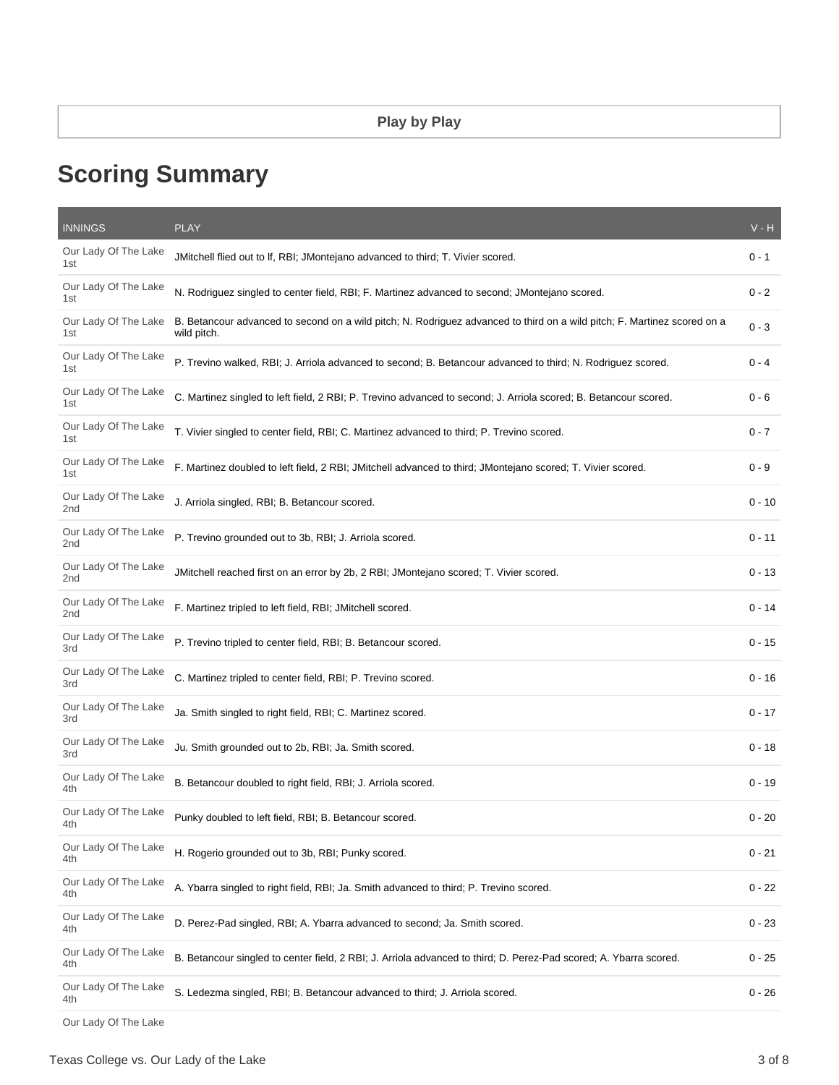# **Scoring Summary**

| <b>INNINGS</b>                          | <b>PLAY</b>                                                                                                                             | $V - H$  |
|-----------------------------------------|-----------------------------------------------------------------------------------------------------------------------------------------|----------|
| Our Lady Of The Lake<br>1st             | JMitchell flied out to If, RBI; JMontejano advanced to third; T. Vivier scored.                                                         | 0 - 1    |
| Our Lady Of The Lake<br>1st             | N. Rodriguez singled to center field, RBI; F. Martinez advanced to second; JMontejano scored.                                           | $0 - 2$  |
| Our Lady Of The Lake<br>1st             | B. Betancour advanced to second on a wild pitch; N. Rodriguez advanced to third on a wild pitch; F. Martinez scored on a<br>wild pitch. | $0 - 3$  |
| Our Lady Of The Lake<br>1st             | P. Trevino walked, RBI; J. Arriola advanced to second; B. Betancour advanced to third; N. Rodriguez scored.                             | $0 - 4$  |
| Our Lady Of The Lake<br>1st             | C. Martinez singled to left field, 2 RBI; P. Trevino advanced to second; J. Arriola scored; B. Betancour scored.                        | 0 - 6    |
| Our Lady Of The Lake<br>1st             | T. Vivier singled to center field, RBI; C. Martinez advanced to third; P. Trevino scored.                                               | $0 - 7$  |
| Our Lady Of The Lake<br>1st             | F. Martinez doubled to left field, 2 RBI; JMitchell advanced to third; JMontejano scored; T. Vivier scored.                             | $0 - 9$  |
| Our Lady Of The Lake<br>2nd             | J. Arriola singled, RBI; B. Betancour scored.                                                                                           | $0 - 10$ |
| Our Lady Of The Lake<br>2nd             | P. Trevino grounded out to 3b, RBI; J. Arriola scored.                                                                                  | $0 - 11$ |
| Our Lady Of The Lake<br>2 <sub>nd</sub> | JMitchell reached first on an error by 2b, 2 RBI; JMontejano scored; T. Vivier scored.                                                  | $0 - 13$ |
| Our Lady Of The Lake<br>2 <sub>nd</sub> | F. Martinez tripled to left field, RBI; JMitchell scored.                                                                               | $0 - 14$ |
| Our Lady Of The Lake<br>3rd             | P. Trevino tripled to center field, RBI; B. Betancour scored.                                                                           | $0 - 15$ |
| Our Lady Of The Lake<br>3rd             | C. Martinez tripled to center field, RBI; P. Trevino scored.                                                                            | $0 - 16$ |
| Our Lady Of The Lake<br>3rd             | Ja. Smith singled to right field, RBI; C. Martinez scored.                                                                              | $0 - 17$ |
| Our Lady Of The Lake<br>3rd             | Ju. Smith grounded out to 2b, RBI; Ja. Smith scored.                                                                                    | $0 - 18$ |
| Our Lady Of The Lake<br>4th             | B. Betancour doubled to right field, RBI; J. Arriola scored.                                                                            | $0 - 19$ |
| Our Lady Of The Lake<br>4th             | Punky doubled to left field, RBI; B. Betancour scored.                                                                                  | 0 - 20   |
| Our Lady Of The Lake<br>4th             | H. Rogerio grounded out to 3b, RBI; Punky scored.                                                                                       | $0 - 21$ |
| Our Lady Of The Lake<br>4th             | A. Ybarra singled to right field, RBI; Ja. Smith advanced to third; P. Trevino scored.                                                  | $0 - 22$ |
| Our Lady Of The Lake<br>4th             | D. Perez-Pad singled, RBI; A. Ybarra advanced to second; Ja. Smith scored.                                                              | $0 - 23$ |
| Our Lady Of The Lake<br>4th             | B. Betancour singled to center field, 2 RBI; J. Arriola advanced to third; D. Perez-Pad scored; A. Ybarra scored.                       | $0 - 25$ |
| Our Lady Of The Lake<br>4th             | S. Ledezma singled, RBI; B. Betancour advanced to third; J. Arriola scored.                                                             | $0 - 26$ |
|                                         |                                                                                                                                         |          |

Our Lady Of The Lake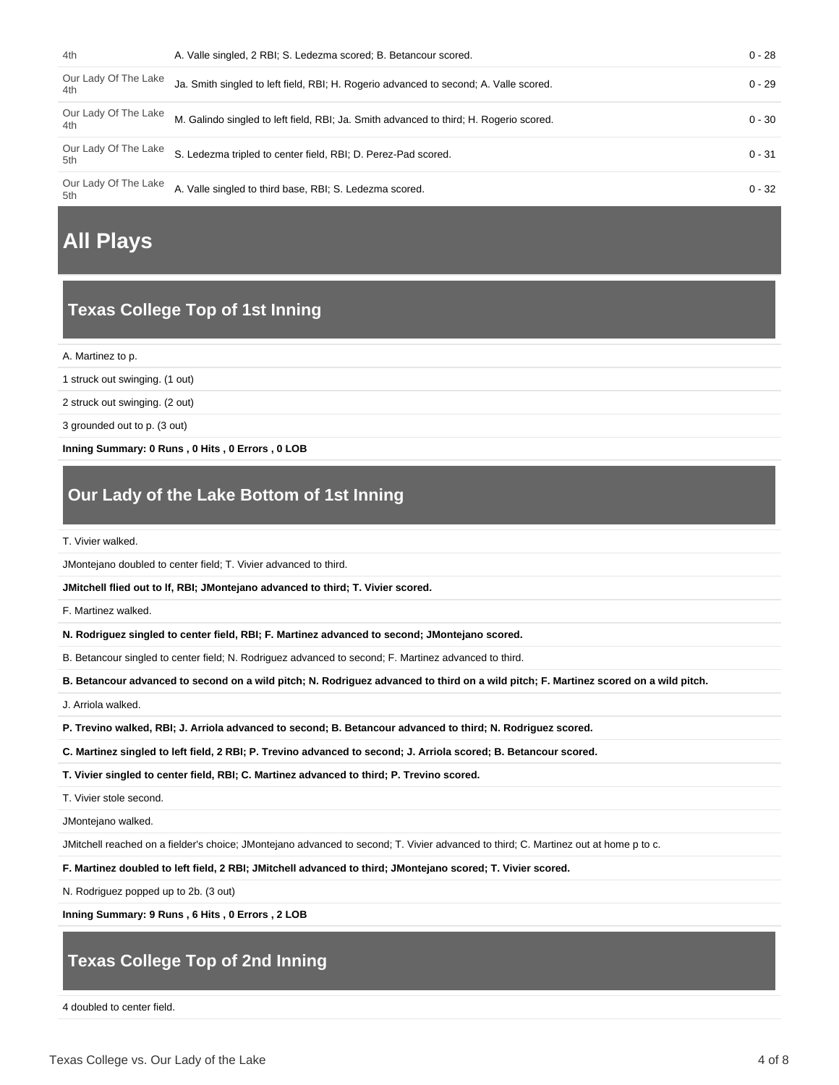| 4th                         | A. Valle singled, 2 RBI; S. Ledezma scored; B. Betancour scored.                       | $0 - 28$ |
|-----------------------------|----------------------------------------------------------------------------------------|----------|
| Our Lady Of The Lake<br>4th | Ja. Smith singled to left field, RBI; H. Rogerio advanced to second; A. Valle scored.  | $0 - 29$ |
| Our Lady Of The Lake<br>4th | M. Galindo singled to left field, RBI; Ja. Smith advanced to third; H. Rogerio scored. | $0 - 30$ |
| Our Lady Of The Lake<br>5th | S. Ledezma tripled to center field, RBI; D. Perez-Pad scored.                          | $0 - 31$ |
| Our Lady Of The Lake<br>5th | A. Valle singled to third base, RBI; S. Ledezma scored.                                | $0 - 32$ |

# **All Plays**

## **Texas College Top of 1st Inning**

A. Martinez to p.

1 struck out swinging. (1 out)

2 struck out swinging. (2 out)

3 grounded out to p. (3 out)

**Inning Summary: 0 Runs , 0 Hits , 0 Errors , 0 LOB**

# **Our Lady of the Lake Bottom of 1st Inning**

T. Vivier walked.

JMontejano doubled to center field; T. Vivier advanced to third.

**JMitchell flied out to lf, RBI; JMontejano advanced to third; T. Vivier scored.**

F. Martinez walked.

**N. Rodriguez singled to center field, RBI; F. Martinez advanced to second; JMontejano scored.**

B. Betancour singled to center field; N. Rodriguez advanced to second; F. Martinez advanced to third.

**B. Betancour advanced to second on a wild pitch; N. Rodriguez advanced to third on a wild pitch; F. Martinez scored on a wild pitch.**

J. Arriola walked.

**P. Trevino walked, RBI; J. Arriola advanced to second; B. Betancour advanced to third; N. Rodriguez scored.**

**C. Martinez singled to left field, 2 RBI; P. Trevino advanced to second; J. Arriola scored; B. Betancour scored.**

**T. Vivier singled to center field, RBI; C. Martinez advanced to third; P. Trevino scored.**

T. Vivier stole second.

JMontejano walked.

JMitchell reached on a fielder's choice; JMontejano advanced to second; T. Vivier advanced to third; C. Martinez out at home p to c.

**F. Martinez doubled to left field, 2 RBI; JMitchell advanced to third; JMontejano scored; T. Vivier scored.**

N. Rodriguez popped up to 2b. (3 out)

**Inning Summary: 9 Runs , 6 Hits , 0 Errors , 2 LOB**

# **Texas College Top of 2nd Inning**

4 doubled to center field.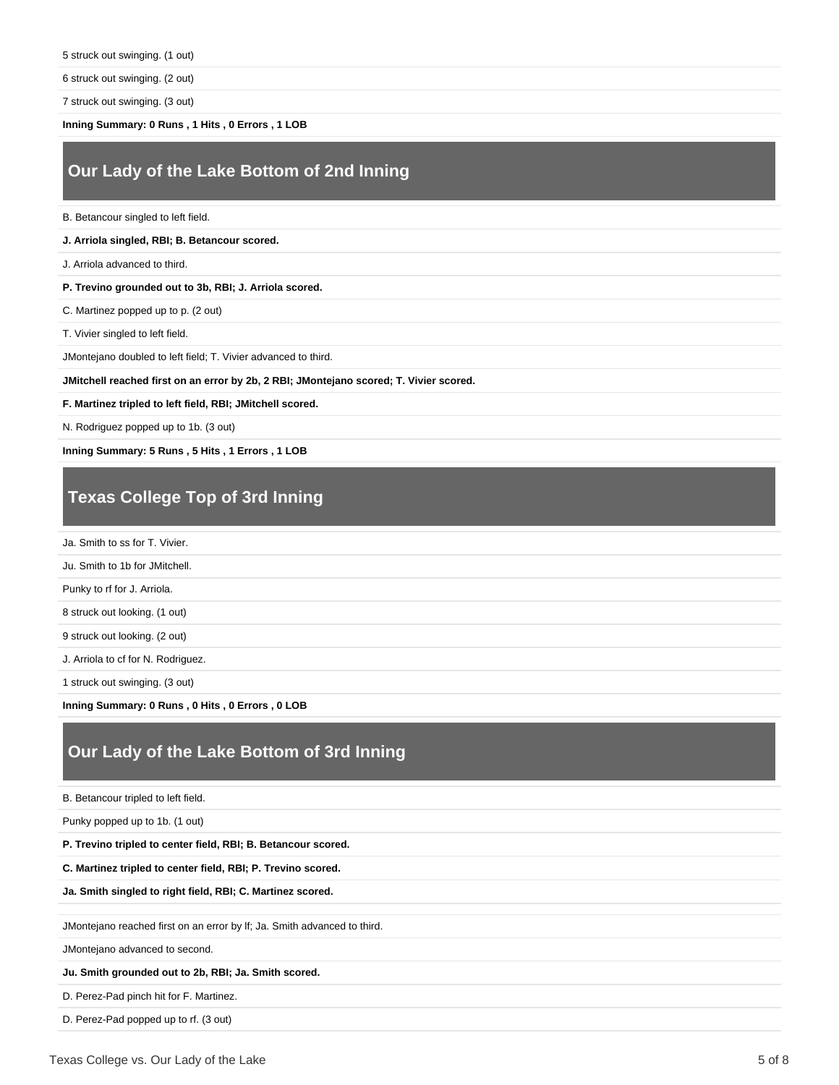6 struck out swinging. (2 out)

7 struck out swinging. (3 out)

**Inning Summary: 0 Runs , 1 Hits , 0 Errors , 1 LOB**

## **Our Lady of the Lake Bottom of 2nd Inning**

B. Betancour singled to left field.

#### **J. Arriola singled, RBI; B. Betancour scored.**

J. Arriola advanced to third.

#### **P. Trevino grounded out to 3b, RBI; J. Arriola scored.**

C. Martinez popped up to p. (2 out)

T. Vivier singled to left field.

JMontejano doubled to left field; T. Vivier advanced to third.

**JMitchell reached first on an error by 2b, 2 RBI; JMontejano scored; T. Vivier scored.**

**F. Martinez tripled to left field, RBI; JMitchell scored.**

N. Rodriguez popped up to 1b. (3 out)

**Inning Summary: 5 Runs , 5 Hits , 1 Errors , 1 LOB**

#### **Texas College Top of 3rd Inning**

Ja. Smith to ss for T. Vivier.

Ju. Smith to 1b for JMitchell.

Punky to rf for J. Arriola.

8 struck out looking. (1 out)

9 struck out looking. (2 out)

J. Arriola to cf for N. Rodriguez.

1 struck out swinging. (3 out)

**Inning Summary: 0 Runs , 0 Hits , 0 Errors , 0 LOB**

### **Our Lady of the Lake Bottom of 3rd Inning**

B. Betancour tripled to left field.

Punky popped up to 1b. (1 out)

**P. Trevino tripled to center field, RBI; B. Betancour scored.**

**C. Martinez tripled to center field, RBI; P. Trevino scored.**

#### **Ja. Smith singled to right field, RBI; C. Martinez scored.**

JMontejano reached first on an error by lf; Ja. Smith advanced to third.

JMontejano advanced to second.

**Ju. Smith grounded out to 2b, RBI; Ja. Smith scored.**

D. Perez-Pad pinch hit for F. Martinez.

D. Perez-Pad popped up to rf. (3 out)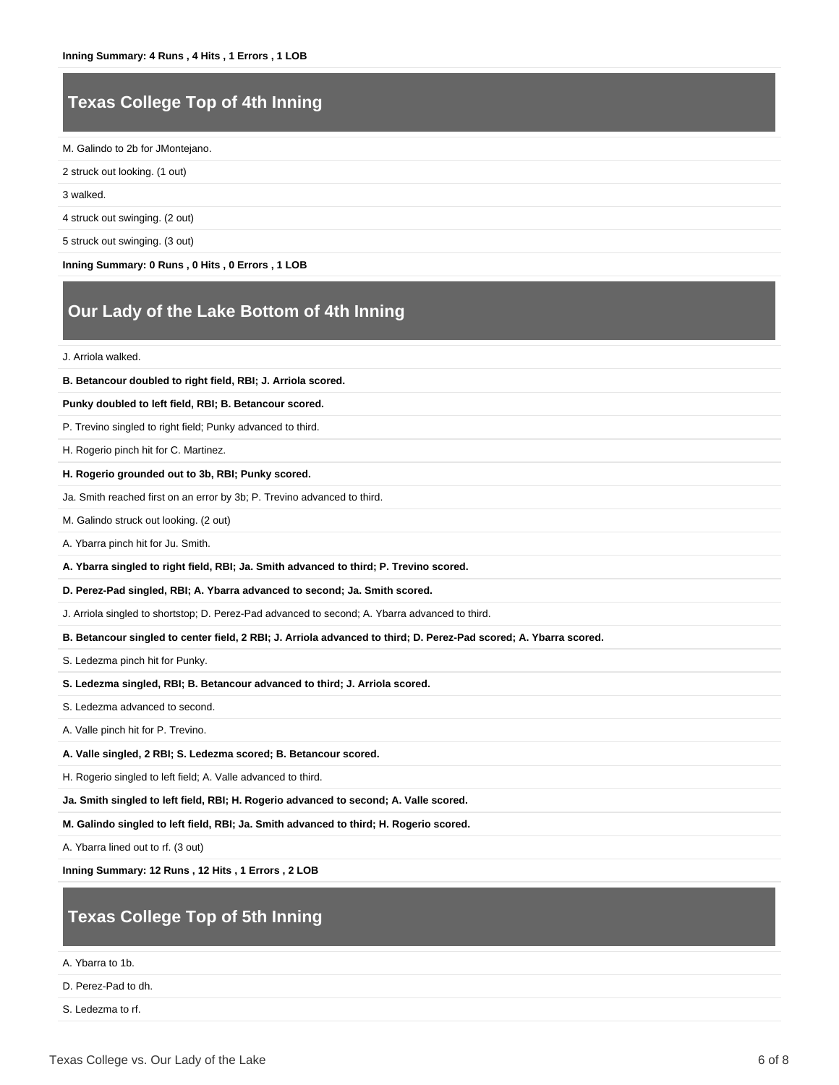## **Texas College Top of 4th Inning**

M. Galindo to 2b for JMontejano.

2 struck out looking. (1 out)

3 walked.

4 struck out swinging. (2 out)

5 struck out swinging. (3 out)

**Inning Summary: 0 Runs , 0 Hits , 0 Errors , 1 LOB**

## **Our Lady of the Lake Bottom of 4th Inning**

J. Arriola walked.

| J. Arriola waiked.                                                                                                |
|-------------------------------------------------------------------------------------------------------------------|
| B. Betancour doubled to right field, RBI; J. Arriola scored.                                                      |
| Punky doubled to left field, RBI; B. Betancour scored.                                                            |
| P. Trevino singled to right field; Punky advanced to third.                                                       |
| H. Rogerio pinch hit for C. Martinez.                                                                             |
| H. Rogerio grounded out to 3b, RBI; Punky scored.                                                                 |
| Ja. Smith reached first on an error by 3b; P. Trevino advanced to third.                                          |
| M. Galindo struck out looking. (2 out)                                                                            |
| A. Ybarra pinch hit for Ju. Smith.                                                                                |
| A. Ybarra singled to right field, RBI; Ja. Smith advanced to third; P. Trevino scored.                            |
| D. Perez-Pad singled, RBI; A. Ybarra advanced to second; Ja. Smith scored.                                        |
| J. Arriola singled to shortstop; D. Perez-Pad advanced to second; A. Ybarra advanced to third.                    |
| B. Betancour singled to center field, 2 RBI; J. Arriola advanced to third; D. Perez-Pad scored; A. Ybarra scored. |
| S. Ledezma pinch hit for Punky.                                                                                   |
| S. Ledezma singled, RBI; B. Betancour advanced to third; J. Arriola scored.                                       |
| S. Ledezma advanced to second.                                                                                    |
| A. Valle pinch hit for P. Trevino.                                                                                |
| A. Valle singled, 2 RBI; S. Ledezma scored; B. Betancour scored.                                                  |
| H. Rogerio singled to left field; A. Valle advanced to third.                                                     |
| Ja. Smith singled to left field, RBI; H. Rogerio advanced to second; A. Valle scored.                             |
| M. Galindo singled to left field, RBI; Ja. Smith advanced to third; H. Rogerio scored.                            |

A. Ybarra lined out to rf. (3 out)

**Inning Summary: 12 Runs , 12 Hits , 1 Errors , 2 LOB**

## **Texas College Top of 5th Inning**

A. Ybarra to 1b.

D. Perez-Pad to dh.

S. Ledezma to rf.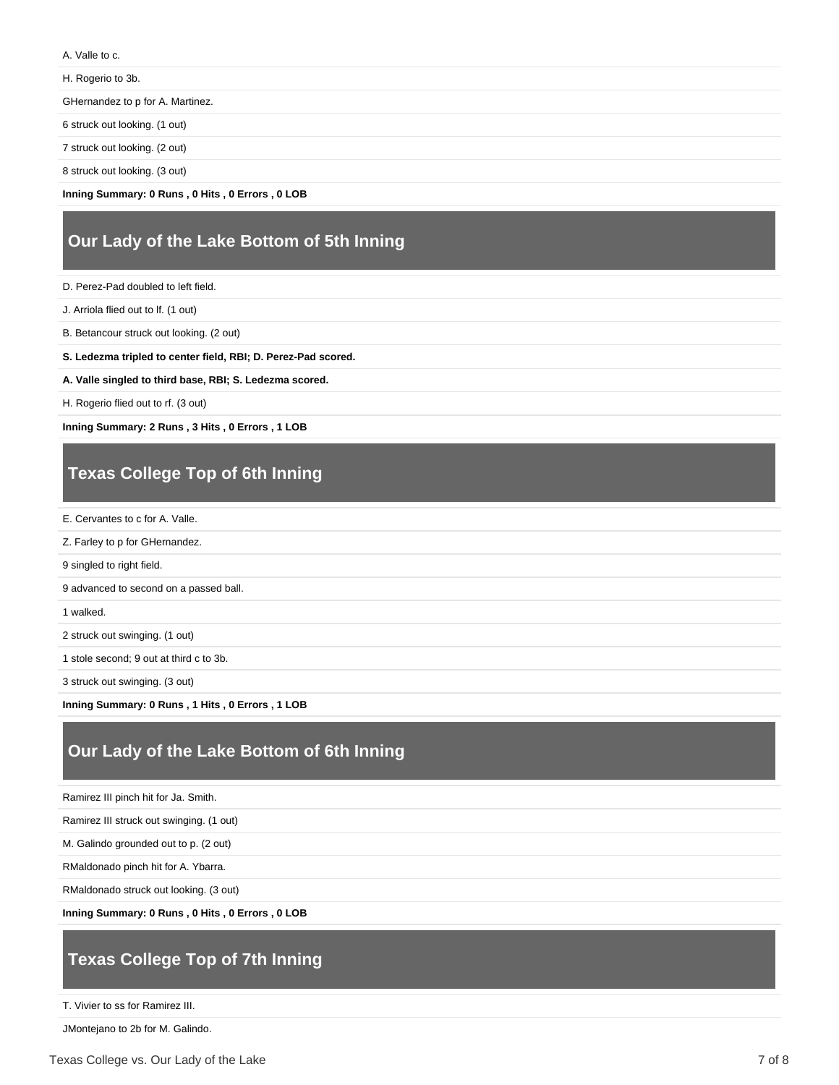A. Valle to c.

H. Rogerio to 3b.

GHernandez to p for A. Martinez.

6 struck out looking. (1 out)

7 struck out looking. (2 out)

8 struck out looking. (3 out)

**Inning Summary: 0 Runs , 0 Hits , 0 Errors , 0 LOB**

## **Our Lady of the Lake Bottom of 5th Inning**

D. Perez-Pad doubled to left field.

J. Arriola flied out to lf. (1 out)

B. Betancour struck out looking. (2 out)

**S. Ledezma tripled to center field, RBI; D. Perez-Pad scored.**

**A. Valle singled to third base, RBI; S. Ledezma scored.**

H. Rogerio flied out to rf. (3 out)

**Inning Summary: 2 Runs , 3 Hits , 0 Errors , 1 LOB**

# **Texas College Top of 6th Inning**

E. Cervantes to c for A. Valle.

Z. Farley to p for GHernandez.

9 singled to right field.

9 advanced to second on a passed ball.

1 walked.

2 struck out swinging. (1 out)

1 stole second; 9 out at third c to 3b.

3 struck out swinging. (3 out)

**Inning Summary: 0 Runs , 1 Hits , 0 Errors , 1 LOB**

# **Our Lady of the Lake Bottom of 6th Inning**

Ramirez III pinch hit for Ja. Smith.

Ramirez III struck out swinging. (1 out)

M. Galindo grounded out to p. (2 out)

RMaldonado pinch hit for A. Ybarra.

RMaldonado struck out looking. (3 out)

**Inning Summary: 0 Runs , 0 Hits , 0 Errors , 0 LOB**

# **Texas College Top of 7th Inning**

T. Vivier to ss for Ramirez III.

JMontejano to 2b for M. Galindo.